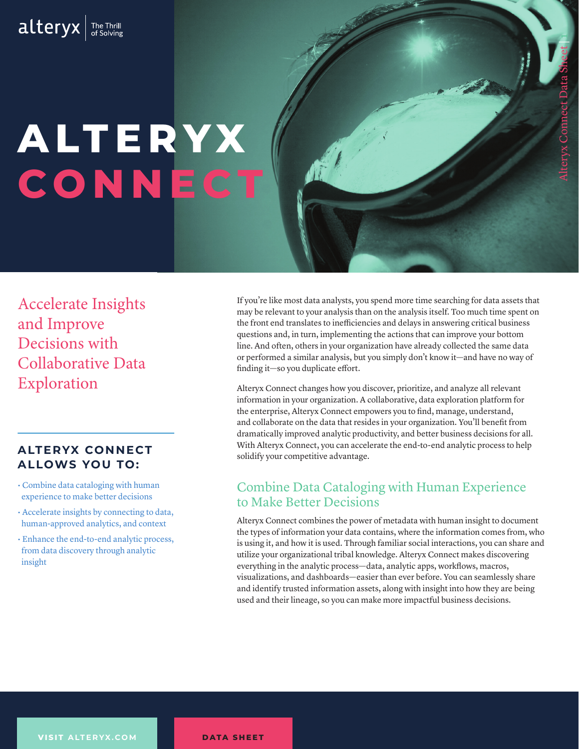# **A LT E R YX CONNE**

Accelerate Insights and Improve Decisions with Collaborative Data Exploration

## **ALTERYX CONNECT ALLOWS YOU TO:**

- Combine data cataloging with human experience to make better decisions
- Accelerate insights by connecting to data, human-approved analytics, and context
- Enhance the end-to-end analytic process, from data discovery through analytic insight

If you're like most data analysts, you spend more time searching for data assets that may be relevant to your analysis than on the analysis itself. Too much time spent on the front end translates to inefficiencies and delays in answering critical business questions and, in turn, implementing the actions that can improve your bottom line. And often, others in your organization have already collected the same data or performed a similar analysis, but you simply don't know it—and have no way of finding it—so you duplicate effort.

Alteryx Connect changes how you discover, prioritize, and analyze all relevant information in your organization. A collaborative, data exploration platform for the enterprise, Alteryx Connect empowers you to find, manage, understand, and collaborate on the data that resides in your organization. You'll benefit from dramatically improved analytic productivity, and better business decisions for all. With Alteryx Connect, you can accelerate the end-to-end analytic process to help solidify your competitive advantage.

## Combine Data Cataloging with Human Experience to Make Better Decisions

Alteryx Connect combines the power of metadata with human insight to document the types of information your data contains, where the information comes from, who is using it, and how it is used. Through familiar social interactions, you can share and utilize your organizational tribal knowledge. Alteryx Connect makes discovering everything in the analytic process—data, analytic apps, workflows, macros, visualizations, and dashboards—easier than ever before. You can seamlessly share and identify trusted information assets, along with insight into how they are being used and their lineage, so you can make more impactful business decisions.

**VISIT ALTERYX.COM**

**DATA SHEET**